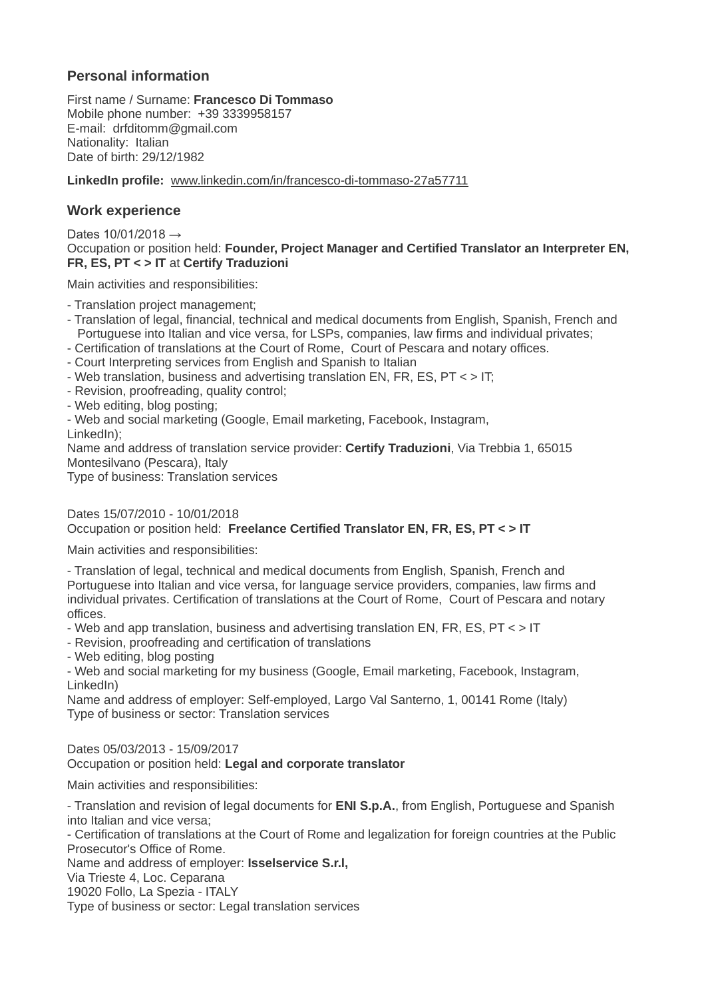# **Personal information**

First name / Surname: **Francesco Di Tommaso** Mobile phone number: +39 3339958157 E-mail: drfditomm@gmail.com Nationality: Italian Date of birth: 29/12/1982

**LinkedIn profile:** [www.linkedin.com/in/francesco-di-tommaso-27a57711](http://www.linkedin.com/in/francesco-di-tommaso-27a57711)

## **Work experience**

Dates  $10/01/2018 \rightarrow$ Occupation or position held: **Founder, Project Manager and Certified Translator an Interpreter EN, FR, ES, PT < > IT** at **Certify Traduzioni**

Main activities and responsibilities:

- Translation project management;
- Translation of legal, financial, technical and medical documents from English, Spanish, French and Portuguese into Italian and vice versa, for LSPs, companies, law firms and individual privates;
- Certification of translations at the Court of Rome, Court of Pescara and notary offices.
- Court Interpreting services from English and Spanish to Italian
- Web translation, business and advertising translation EN, FR, ES, PT < > IT;
- Revision, proofreading, quality control;
- Web editing, blog posting;
- Web and social marketing (Google, Email marketing, Facebook, Instagram,

LinkedIn);

Name and address of translation service provider: **Certify Traduzioni**, Via Trebbia 1, 65015 Montesilvano (Pescara), Italy

Type of business: Translation services

## Dates 15/07/2010 - 10/01/2018 Occupation or position held: **Freelance Certified Translator EN, FR, ES, PT < > IT**

Main activities and responsibilities:

- Translation of legal, technical and medical documents from English, Spanish, French and Portuguese into Italian and vice versa, for language service providers, companies, law firms and individual privates. Certification of translations at the Court of Rome, Court of Pescara and notary offices.

- Web and app translation, business and advertising translation EN, FR, ES, PT < > IT

- Revision, proofreading and certification of translations

- Web editing, blog posting

- Web and social marketing for my business (Google, Email marketing, Facebook, Instagram, LinkedIn)

Name and address of employer: Self-employed, Largo Val Santerno, 1, 00141 Rome (Italy) Type of business or sector: Translation services

Dates 05/03/2013 - 15/09/2017

#### Occupation or position held: **Legal and corporate translator**

Main activities and responsibilities:

- Translation and revision of legal documents for **ENI S.p.A.**, from English, Portuguese and Spanish into Italian and vice versa;

- Certification of translations at the Court of Rome and legalization for foreign countries at the Public Prosecutor's Office of Rome.

Name and address of employer: **Isselservice S.r.l,**

Via Trieste 4, Loc. Ceparana

19020 Follo, La Spezia - ITALY

Type of business or sector: Legal translation services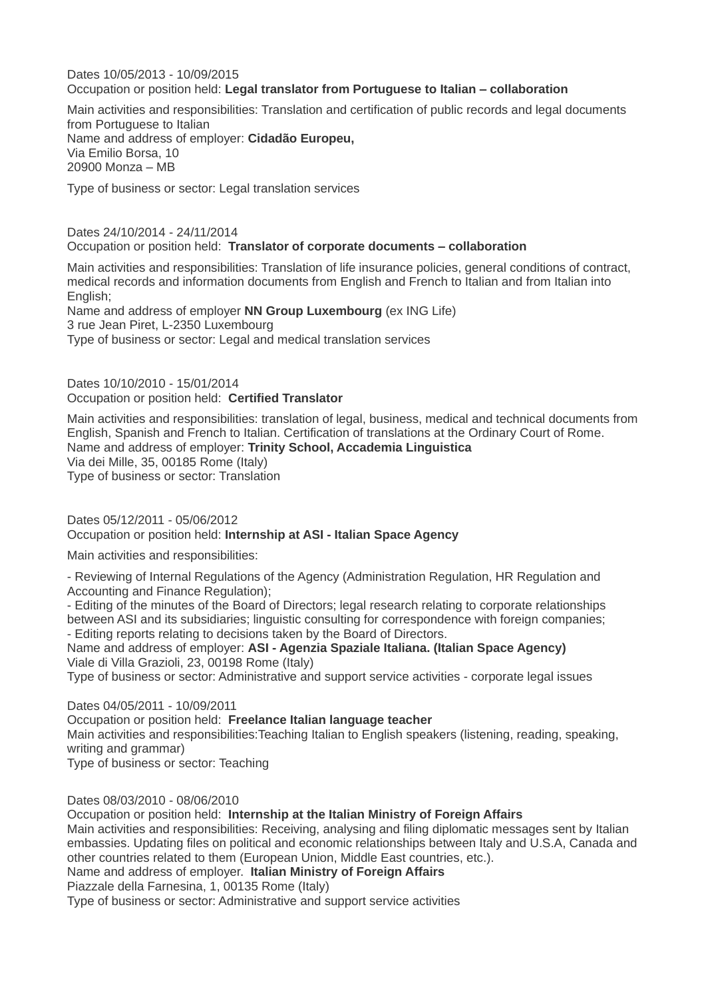Dates 10/05/2013 - 10/09/2015 Occupation or position held: **Legal translator from Portuguese to Italian – collaboration**

Main activities and responsibilities: Translation and certification of public records and legal documents from Portuguese to Italian Name and address of employer: **Cidadão Europeu,** Via Emilio Borsa, 10 20900 Monza – MB

Type of business or sector: Legal translation services

Dates 24/10/2014 - 24/11/2014 Occupation or position held: **Translator of corporate documents – collaboration**

Main activities and responsibilities: Translation of life insurance policies, general conditions of contract, medical records and information documents from English and French to Italian and from Italian into English;

Name and address of employer **NN Group Luxembourg** (ex ING Life) 3 rue Jean Piret, L-2350 Luxembourg Type of business or sector: Legal and medical translation services

Dates 10/10/2010 - 15/01/2014 Occupation or position held: **Certified Translator**

Main activities and responsibilities: translation of legal, business, medical and technical documents from English, Spanish and French to Italian. Certification of translations at the Ordinary Court of Rome. Name and address of employer: **Trinity School, Accademia Linguistica** Via dei Mille, 35, 00185 Rome (Italy) Type of business or sector: Translation

Dates 05/12/2011 - 05/06/2012 Occupation or position held: **Internship at ASI - Italian Space Agency**

Main activities and responsibilities:

- Reviewing of Internal Regulations of the Agency (Administration Regulation, HR Regulation and Accounting and Finance Regulation);

- Editing of the minutes of the Board of Directors; legal research relating to corporate relationships between ASI and its subsidiaries; linguistic consulting for correspondence with foreign companies; - Editing reports relating to decisions taken by the Board of Directors.

Name and address of employer: **ASI - Agenzia Spaziale Italiana. (Italian Space Agency)**

Viale di Villa Grazioli, 23, 00198 Rome (Italy) Type of business or sector: Administrative and support service activities - corporate legal issues

Dates 04/05/2011 - 10/09/2011

Occupation or position held: **Freelance Italian language teacher**

Main activities and responsibilities:Teaching Italian to English speakers (listening, reading, speaking, writing and grammar)

Type of business or sector: Teaching

Dates 08/03/2010 - 08/06/2010

Occupation or position held: **Internship at the Italian Ministry of Foreign Affairs** Main activities and responsibilities: Receiving, analysing and filing diplomatic messages sent by Italian embassies. Updating files on political and economic relationships between Italy and U.S.A, Canada and other countries related to them (European Union, Middle East countries, etc.).

Name and address of employer. **Italian Ministry of Foreign Affairs**

Piazzale della Farnesina, 1, 00135 Rome (Italy)

Type of business or sector: Administrative and support service activities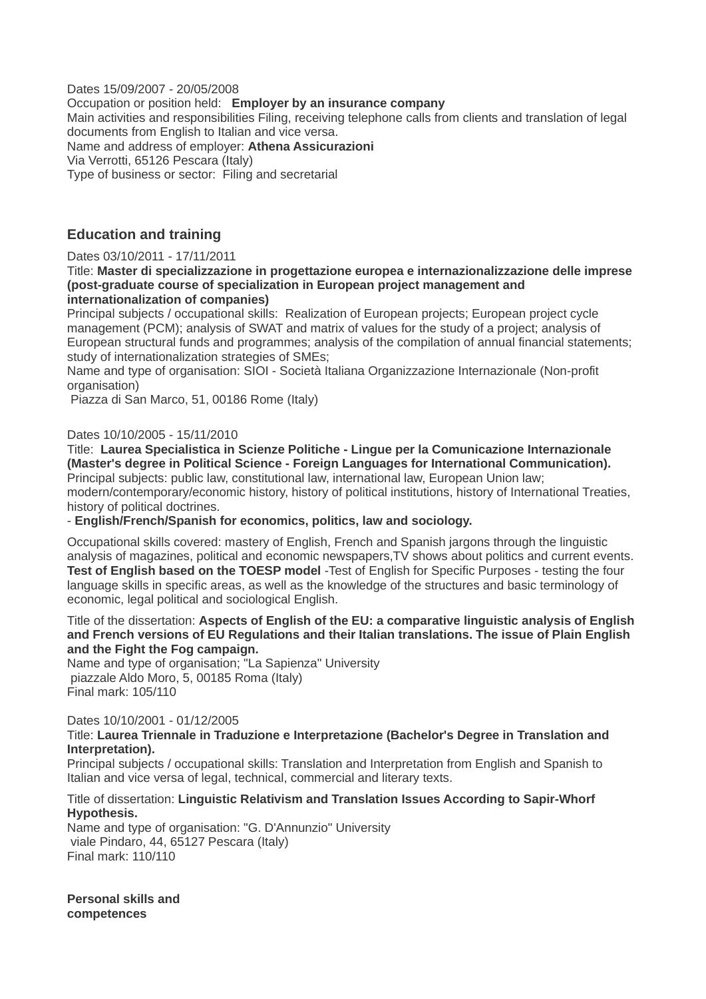Dates 15/09/2007 - 20/05/2008 Occupation or position held: **Employer by an insurance company** Main activities and responsibilities Filing, receiving telephone calls from clients and translation of legal documents from English to Italian and vice versa. Name and address of employer: **Athena Assicurazioni** Via Verrotti, 65126 Pescara (Italy) Type of business or sector: Filing and secretarial

## **Education and training**

#### Dates 03/10/2011 - 17/11/2011

Title: **Master di specializzazione in progettazione europea e internazionalizzazione delle imprese (post-graduate course of specialization in European project management and internationalization of companies)**

Principal subjects / occupational skills: Realization of European projects; European project cycle management (PCM); analysis of SWAT and matrix of values for the study of a project; analysis of European structural funds and programmes; analysis of the compilation of annual financial statements; study of internationalization strategies of SMEs;

Name and type of organisation: SIOI - Società Italiana Organizzazione Internazionale (Non-profit organisation)

Piazza di San Marco, 51, 00186 Rome (Italy)

### Dates 10/10/2005 - 15/11/2010

Title: **Laurea Specialistica in Scienze Politiche - Lingue per la Comunicazione Internazionale (Master's degree in Political Science - Foreign Languages for International Communication).** Principal subjects: public law, constitutional law, international law, European Union law;

modern/contemporary/economic history, history of political institutions, history of International Treaties, history of political doctrines.

- **English/French/Spanish for economics, politics, law and sociology.**

Occupational skills covered: mastery of English, French and Spanish jargons through the linguistic analysis of magazines, political and economic newspapers,TV shows about politics and current events. **Test of English based on the TOESP model** -Test of English for Specific Purposes - testing the four language skills in specific areas, as well as the knowledge of the structures and basic terminology of economic, legal political and sociological English.

#### Title of the dissertation: **Aspects of English of the EU: a comparative linguistic analysis of English and French versions of EU Regulations and their Italian translations. The issue of Plain English and the Fight the Fog campaign.**

Name and type of organisation; "La Sapienza" University piazzale Aldo Moro, 5, 00185 Roma (Italy) Final mark: 105/110

Dates 10/10/2001 - 01/12/2005

#### Title: **Laurea Triennale in Traduzione e Interpretazione (Bachelor's Degree in Translation and Interpretation).**

Principal subjects / occupational skills: Translation and Interpretation from English and Spanish to Italian and vice versa of legal, technical, commercial and literary texts.

## Title of dissertation: **Linguistic Relativism and Translation Issues According to Sapir-Whorf Hypothesis.**

Name and type of organisation: "G. D'Annunzio" University viale Pindaro, 44, 65127 Pescara (Italy) Final mark: 110/110

**Personal skills and competences**